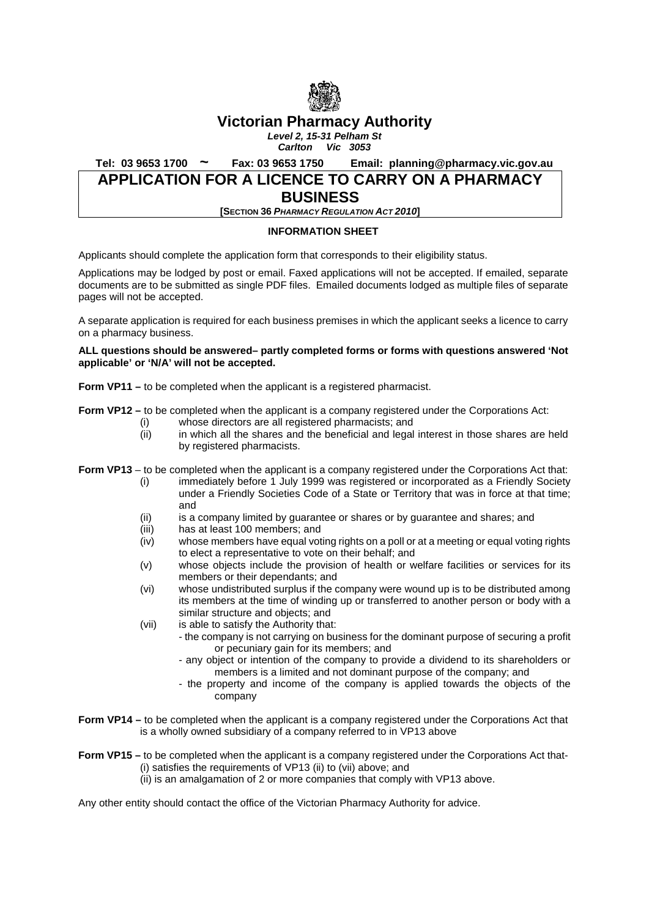

# **Victorian Pharmacy Authority**

*Level 2, 15-31 Pelham St Carlton Vic 3053*

**Tel: 03 9653 1700 ~ Fax: 03 9653 1750 Email: planning@pharmacy.vic.gov.au**

## **APPLICATION FOR A LICENCE TO CARRY ON A PHARMACY BUSINESS**

**[SECTION 36** *PHARMACY REGULATION ACT 2010***]**

#### **INFORMATION SHEET**

Applicants should complete the application form that corresponds to their eligibility status.

Applications may be lodged by post or email. Faxed applications will not be accepted. If emailed, separate documents are to be submitted as single PDF files. Emailed documents lodged as multiple files of separate pages will not be accepted.

A separate application is required for each business premises in which the applicant seeks a licence to carry on a pharmacy business.

#### **ALL questions should be answered– partly completed forms or forms with questions answered 'Not applicable' or 'N/A' will not be accepted.**

**Form VP11 –** to be completed when the applicant is a registered pharmacist.

**Form VP12** – to be completed when the applicant is a company registered under the Corporations Act:

- (i) whose directors are all registered pharmacists; and (ii) in which all the shares and the beneficial and legal
- in which all the shares and the beneficial and legal interest in those shares are held by registered pharmacists.

**Form VP13** – to be completed when the applicant is a company registered under the Corporations Act that:

- (i) immediately before 1 July 1999 was registered or incorporated as a Friendly Society under a Friendly Societies Code of a State or Territory that was in force at that time; and
- (ii) is a company limited by guarantee or shares or by guarantee and shares; and (iii) has at least 100 members; and
- (iii) has at least 100 members; and<br>(iv) whose members have equal vot
- whose members have equal voting rights on a poll or at a meeting or equal voting rights to elect a representative to vote on their behalf; and
- (v) whose objects include the provision of health or welfare facilities or services for its members or their dependants; and
- (vi) whose undistributed surplus if the company were wound up is to be distributed among its members at the time of winding up or transferred to another person or body with a similar structure and objects; and
- (vii) is able to satisfy the Authority that:
	- the company is not carrying on business for the dominant purpose of securing a profit or pecuniary gain for its members; and
		- any object or intention of the company to provide a dividend to its shareholders or members is a limited and not dominant purpose of the company; and
	- the property and income of the company is applied towards the objects of the company
- **Form VP14** to be completed when the applicant is a company registered under the Corporations Act that is a wholly owned subsidiary of a company referred to in VP13 above
- **Form VP15** to be completed when the applicant is a company registered under the Corporations Act that-(i) satisfies the requirements of VP13 (ii) to (vii) above; and
	- (ii) is an amalgamation of 2 or more companies that comply with VP13 above.

Any other entity should contact the office of the Victorian Pharmacy Authority for advice.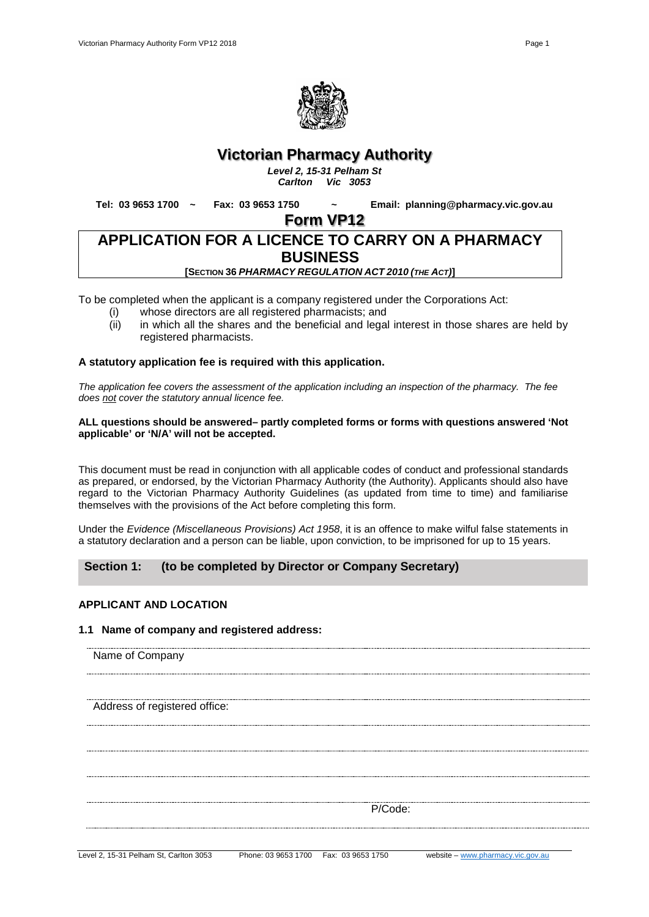

# **Victorian Pharmacy Authority**

*Level 2, 15-31 Pelham St Carlton Vic 3053*

**Tel: 03 9653 1700 ~ Fax: 03 9653 1750 ~ Email: planning@pharmacy.vic.gov.au**

**Form VP12**

# **APPLICATION FOR A LICENCE TO CARRY ON A PHARMACY BUSINESS [SECTION 36** *PHARMACY REGULATION ACT 2010 (THE ACT)***]**

To be completed when the applicant is a company registered under the Corporations Act:

- 
- (i) whose directors are all registered pharmacists; and<br>(ii) in which all the shares and the beneficial and legal in which all the shares and the beneficial and legal interest in those shares are held by registered pharmacists.

#### **A statutory application fee is required with this application.**

*The application fee covers the assessment of the application including an inspection of the pharmacy. The fee does not cover the statutory annual licence fee.*

#### **ALL questions should be answered– partly completed forms or forms with questions answered 'Not applicable' or 'N/A' will not be accepted.**

This document must be read in conjunction with all applicable codes of conduct and professional standards as prepared, or endorsed, by the Victorian Pharmacy Authority (the Authority). Applicants should also have regard to the Victorian Pharmacy Authority Guidelines (as updated from time to time) and familiarise themselves with the provisions of the Act before completing this form.

Under the *Evidence (Miscellaneous Provisions) Act 1958*, it is an offence to make wilful false statements in a statutory declaration and a person can be liable, upon conviction, to be imprisoned for up to 15 years.

## **Section 1: (to be completed by Director or Company Secretary)**

#### **APPLICANT AND LOCATION**

#### **1.1 Name of company and registered address:**

Name of Company

Address of registered office:

P/Code: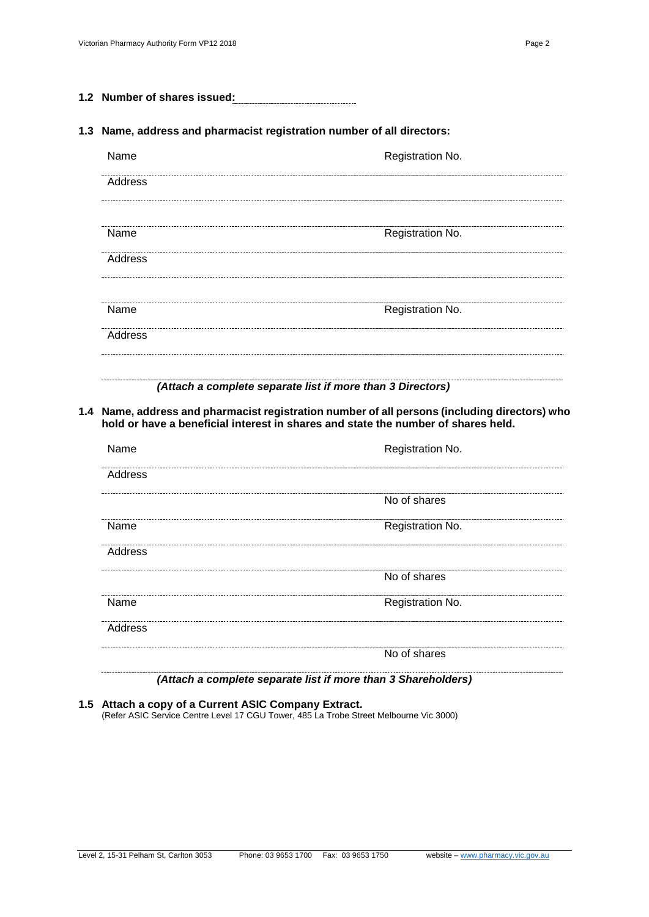**1.2 Number of shares issued:**

#### **1.3 Name, address and pharmacist registration number of all directors:**

| Name    | Registration No. |
|---------|------------------|
| Address |                  |
|         |                  |
| Name    | Registration No. |
| Address |                  |
|         |                  |
| Name    | Registration No. |
| Address |                  |
|         |                  |

#### *(Attach a complete separate list if more than 3 Directors)*

#### **1.4 Name, address and pharmacist registration number of all persons (including directors) who hold or have a beneficial interest in shares and state the number of shares held.**

| Name    | Registration No. |
|---------|------------------|
| Address |                  |
|         | No of shares     |
| Name    | Registration No. |
| Address |                  |
|         | No of shares     |
| Name    | Registration No. |
| Address |                  |
|         | No of shares     |

*(Attach a complete separate list if more than 3 Shareholders)*

**1.5 Attach a copy of a Current ASIC Company Extract.**  (Refer ASIC Service Centre Level 17 CGU Tower, 485 La Trobe Street Melbourne Vic 3000)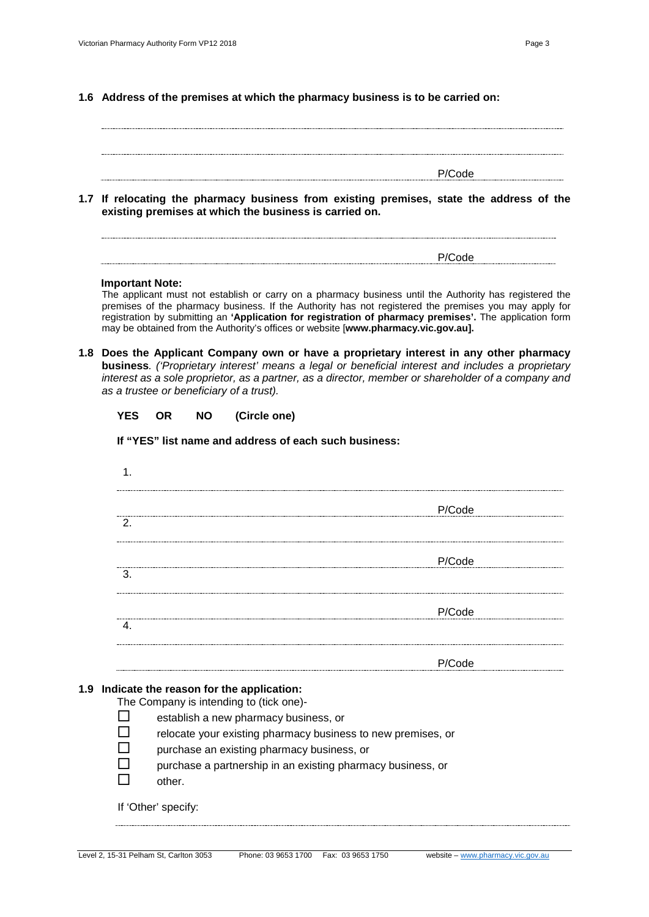| to la contrata di citati conserva la colora del forma del citati di casso terre del citati di citati la colora<br> |        |
|--------------------------------------------------------------------------------------------------------------------|--------|
|                                                                                                                    | P/Code |
|                                                                                                                    |        |
|                                                                                                                    |        |
|                                                                                                                    |        |
|                                                                                                                    |        |

**1.7 If relocating the pharmacy business from existing premises, state the address of the existing premises at which the business is carried on.**

$$
P/Code
$$

#### **Important Note:**

The applicant must not establish or carry on a pharmacy business until the Authority has registered the premises of the pharmacy business. If the Authority has not registered the premises you may apply for registration by submitting an **'Application for registration of pharmacy premises'.** The application form may be obtained from the Authority's offices or website [**www.pharmacy.vic.gov.au].**

**1.8 Does the Applicant Company own or have a proprietary interest in any other pharmacy business***. ('Proprietary interest' means a legal or beneficial interest and includes a proprietary interest as a sole proprietor, as a partner, as a director, member or shareholder of a company and as a trustee or beneficiary of a trust).*

| YES | OR | NΟ | (Circle one) |
|-----|----|----|--------------|
|-----|----|----|--------------|

#### **If "YES" list name and address of each such business:**

| P/Code |
|--------|
|        |
| P/Code |
|        |
| P/Code |
|        |
| P/Code |

The Company is intending to (tick one)-

- $\Box$  establish a new pharmacy business, or
- $\square$  relocate your existing pharmacy business to new premises, or
- $\square$  purchase an existing pharmacy business, or
- purchase a partnership in an existing pharmacy business, or
- other.

If 'Other' specify: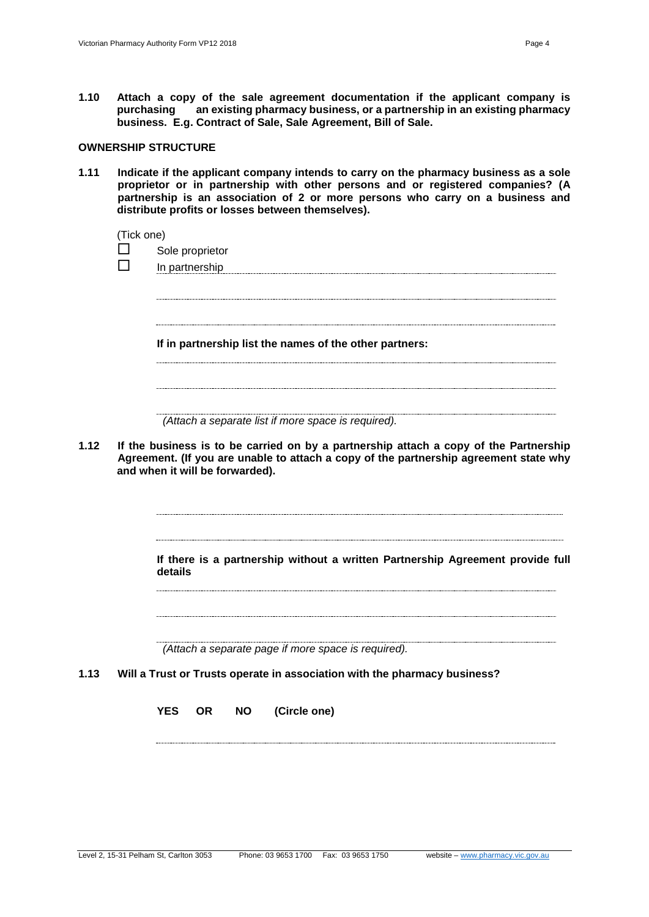**1.10 Attach a copy of the sale agreement documentation if the applicant company is purchasing an existing pharmacy business, or a partnership in an existing pharmacy business. E.g. Contract of Sale, Sale Agreement, Bill of Sale.**

#### **OWNERSHIP STRUCTURE**

**1.11 Indicate if the applicant company intends to carry on the pharmacy business as a sole proprietor or in partnership with other persons and or registered companies? (A partnership is an association of 2 or more persons who carry on a business and distribute profits or losses between themselves).**

(Tick one)

- $\Box$  Sole proprietor
- $\Box$  In partnership

**If in partnership list the names of the other partners:**

*(Attach a separate list if more space is required).*

**1.12 If the business is to be carried on by a partnership attach a copy of the Partnership Agreement. (If you are unable to attach a copy of the partnership agreement state why and when it will be forwarded).**

> **If there is a partnership without a written Partnership Agreement provide full details**

*(Attach a separate page if more space is required).*

**1.13 Will a Trust or Trusts operate in association with the pharmacy business?**

**YES OR NO (Circle one)**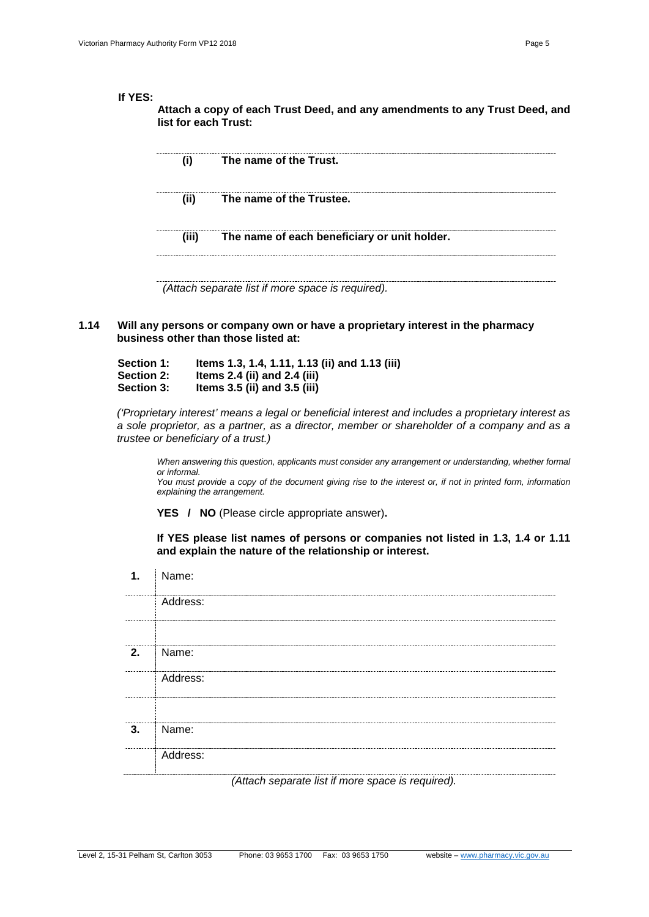#### **If YES:**

**Attach a copy of each Trust Deed, and any amendments to any Trust Deed, and list for each Trust:**

| (i)  | The name of the Trust.                             |
|------|----------------------------------------------------|
| (ii) | The name of the Trustee.                           |
|      | (iii) The name of each beneficiary or unit holder. |
|      |                                                    |

*(Attach separate list if more space is required).*

#### **1.14 Will any persons or company own or have a proprietary interest in the pharmacy business other than those listed at:**

| <b>Section 1:</b> | Items 1.3, 1.4, 1.11, 1.13 (ii) and 1.13 (iii) |
|-------------------|------------------------------------------------|
| <b>Section 2:</b> | Items $2.4$ (ii) and $2.4$ (iii)               |
| <b>Section 3:</b> | Items $3.5$ (ii) and $3.5$ (iii)               |

*('Proprietary interest' means a legal or beneficial interest and includes a proprietary interest as a sole proprietor, as a partner, as a director, member or shareholder of a company and as a trustee or beneficiary of a trust.)* 

*When answering this question, applicants must consider any arrangement or understanding, whether formal or informal.*

*You must provide a copy of the document giving rise to the interest or, if not in printed form, information explaining the arrangement.*

**YES / NO** (Please circle appropriate answer)**.**

**If YES please list names of persons or companies not listed in 1.3, 1.4 or 1.11 and explain the nature of the relationship or interest.**

| 1.     | Name:    |
|--------|----------|
|        | Address: |
|        |          |
| <br>2. | Name:    |
|        | Address: |
|        |          |
| 3.     | Name:    |
|        | Address: |
|        |          |

*(Attach separate list if more space is required).*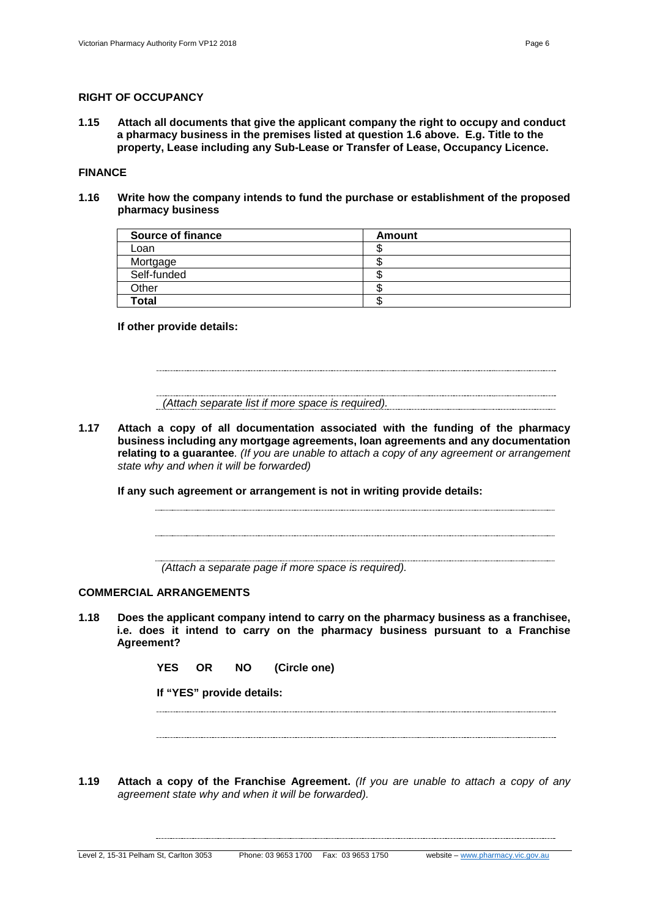#### **RIGHT OF OCCUPANCY**

**1.15 Attach all documents that give the applicant company the right to occupy and conduct a pharmacy business in the premises listed at question 1.6 above. E.g. Title to the property, Lease including any Sub-Lease or Transfer of Lease, Occupancy Licence.**

#### **FINANCE**

**1.16 Write how the company intends to fund the purchase or establishment of the proposed pharmacy business**

| <b>Source of finance</b> | Amount |
|--------------------------|--------|
| Loan                     |        |
| Mortgage                 |        |
| Self-funded              |        |
| Other                    |        |
| <b>Total</b>             |        |

#### **If other provide details:**

*(Attach separate list if more space is required).*

**1.17 Attach a copy of all documentation associated with the funding of the pharmacy business including any mortgage agreements, loan agreements and any documentation relating to a guarantee***. (If you are unable to attach a copy of any agreement or arrangement state why and when it will be forwarded)*

**If any such agreement or arrangement is not in writing provide details:**

*(Attach a separate page if more space is required).*

#### **COMMERCIAL ARRANGEMENTS**

**1.18 Does the applicant company intend to carry on the pharmacy business as a franchisee, i.e. does it intend to carry on the pharmacy business pursuant to a Franchise Agreement?**

**YES OR NO (Circle one)** 

**If "YES" provide details:**

**1.19 Attach a copy of the Franchise Agreement.** *(If you are unable to attach a copy of any agreement state why and when it will be forwarded).*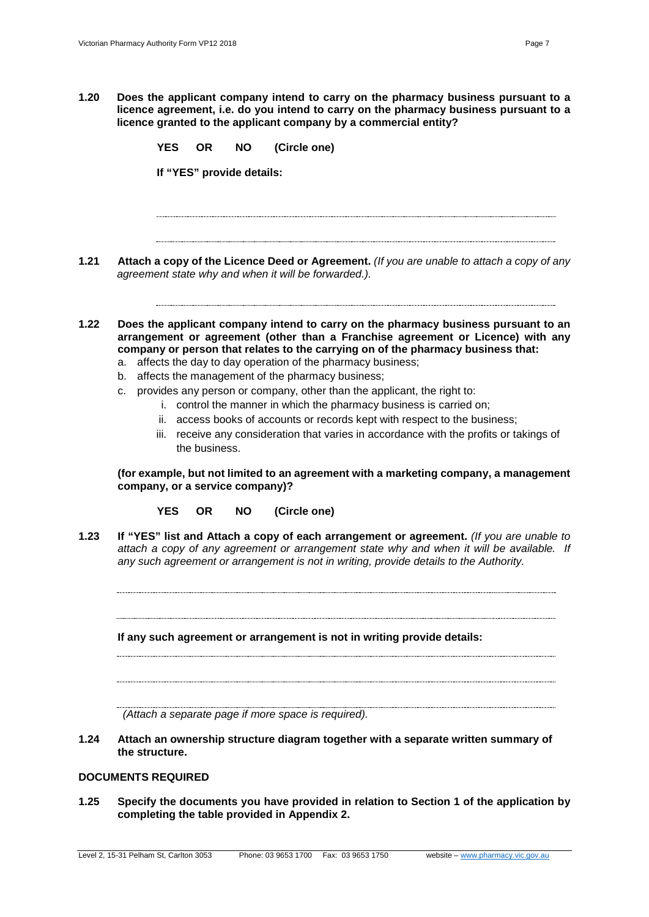**1.20 Does the applicant company intend to carry on the pharmacy business pursuant to a licence agreement, i.e. do you intend to carry on the pharmacy business pursuant to a licence granted to the applicant company by a commercial entity?**

**YES OR NO (Circle one)** 

**If "YES" provide details:**

**1.21 Attach a copy of the Licence Deed or Agreement.** *(If you are unable to attach a copy of any agreement state why and when it will be forwarded.).*

**1.22 Does the applicant company intend to carry on the pharmacy business pursuant to an arrangement or agreement (other than a Franchise agreement or Licence) with any company or person that relates to the carrying on of the pharmacy business that:**

- a. affects the day to day operation of the pharmacy business;
- b. affects the management of the pharmacy business;
- c. provides any person or company, other than the applicant, the right to:
	- i. control the manner in which the pharmacy business is carried on;
	- ii. access books of accounts or records kept with respect to the business;
	- iii. receive any consideration that varies in accordance with the profits or takings of the business.

**(for example, but not limited to an agreement with a marketing company, a management company, or a service company)?**

**YES OR NO (Circle one)** 

**1.23 If "YES" list and Attach a copy of each arrangement or agreement.** *(If you are unable to attach a copy of any agreement or arrangement state why and when it will be available. If any such agreement or arrangement is not in writing, provide details to the Authority.*

**If any such agreement or arrangement is not in writing provide details:**

*(Attach a separate page if more space is required).*

**1.24 Attach an ownership structure diagram together with a separate written summary of the structure.**

#### **DOCUMENTS REQUIRED**

**1.25 Specify the documents you have provided in relation to Section 1 of the application by completing the table provided in Appendix 2.**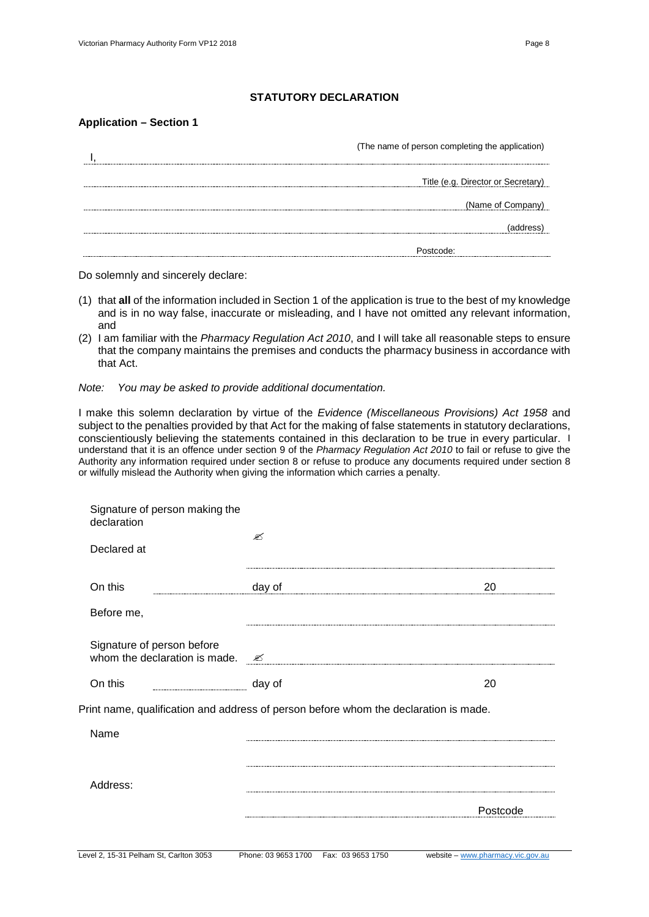#### **STATUTORY DECLARATION**

#### **Application – Section 1**

| (The name of person completing the application) |
|-------------------------------------------------|
|                                                 |
|                                                 |
| Title (e.g. Director or Secretary)              |
|                                                 |
| (Name of Company)                               |
|                                                 |
|                                                 |
|                                                 |

Do solemnly and sincerely declare:

- (1) that **all** of the information included in Section 1 of the application is true to the best of my knowledge and is in no way false, inaccurate or misleading, and I have not omitted any relevant information, and
- (2) I am familiar with the *Pharmacy Regulation Act 2010*, and I will take all reasonable steps to ensure that the company maintains the premises and conducts the pharmacy business in accordance with that Act.

#### *Note: You may be asked to provide additional documentation.*

I make this solemn declaration by virtue of the *Evidence (Miscellaneous Provisions) Act 1958* and subject to the penalties provided by that Act for the making of false statements in statutory declarations, conscientiously believing the statements contained in this declaration to be true in every particular. I understand that it is an offence under section 9 of the *Pharmacy Regulation Act 2010* to fail or refuse to give the Authority any information required under section 8 or refuse to produce any documents required under section 8 or wilfully mislead the Authority when giving the information which carries a penalty.

| Signature of person making the<br>declaration                                        |                                          |                                   |
|--------------------------------------------------------------------------------------|------------------------------------------|-----------------------------------|
| Declared at                                                                          | ✍                                        |                                   |
| On this                                                                              | day of                                   | 20                                |
| Before me,                                                                           |                                          |                                   |
| Signature of person before<br>whom the declaration is made.                          | €                                        |                                   |
| On this                                                                              | day of                                   | 20                                |
| Print name, qualification and address of person before whom the declaration is made. |                                          |                                   |
| Name                                                                                 |                                          |                                   |
|                                                                                      |                                          |                                   |
| Address:                                                                             |                                          |                                   |
|                                                                                      |                                          | Postcode                          |
|                                                                                      |                                          |                                   |
| Level 2, 15-31 Pelham St, Carlton 3053                                               | Phone: 03 9653 1700<br>Fax: 03 9653 1750 | website - www.pharmacy.vic.gov.au |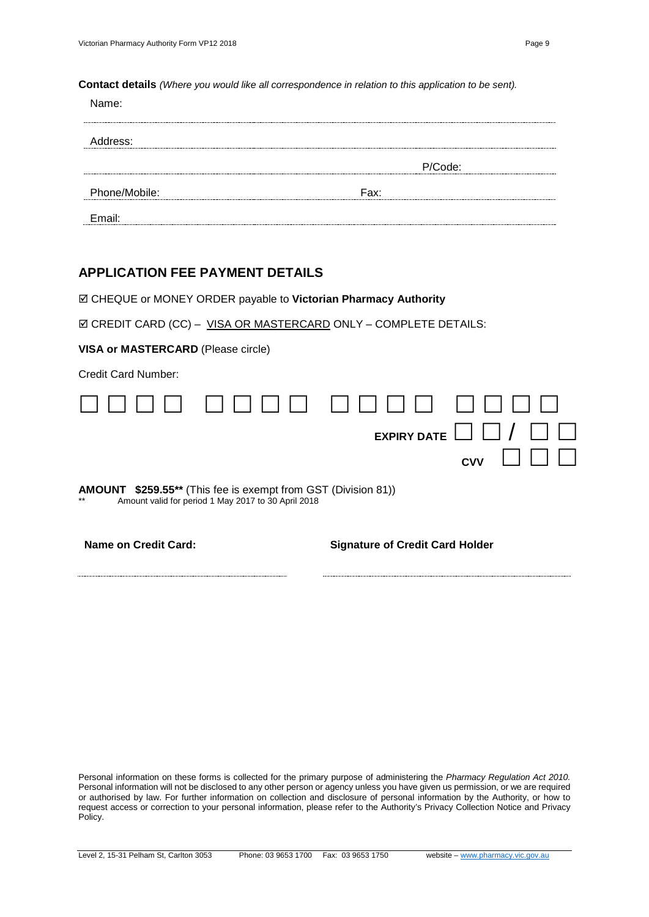**Contact details** *(Where you would like all correspondence in relation to this application to be sent).*

| ame:               |         |  |
|--------------------|---------|--|
| Address:           |         |  |
|                    | P/Code: |  |
| Phone/Mobile:      | Fax:    |  |
| Email <sup>.</sup> |         |  |

## **APPLICATION FEE PAYMENT DETAILS**

CHEQUE or MONEY ORDER payable to **Victorian Pharmacy Authority**

**Ø CREDIT CARD (CC) – VISA OR MASTERCARD ONLY – COMPLETE DETAILS:** 

**VISA or MASTERCARD** (Please circle)

Credit Card Number:



**AMOUNT \$259.55\*\*** (This fee is exempt from GST (Division 81)) Amount valid for period 1 May 2017 to 30 April 2018

**Name on Credit Card: Signature of Credit Card Holder**

Personal information on these forms is collected for the primary purpose of administering the *Pharmacy Regulation Act 2010.* Personal information will not be disclosed to any other person or agency unless you have given us permission, or we are required or authorised by law. For further information on collection and disclosure of personal information by the Authority, or how to request access or correction to your personal information, please refer to the Authority's Privacy Collection Notice and Privacy Policy.

Level 2, 15-31 Pelham St, Carlton 3053 Phone: 03 9653 1700 Fax: 03 9653 1750 website – [www.pharmacy.vic.gov.au](http://www.pharmacy.vic.gov.au/)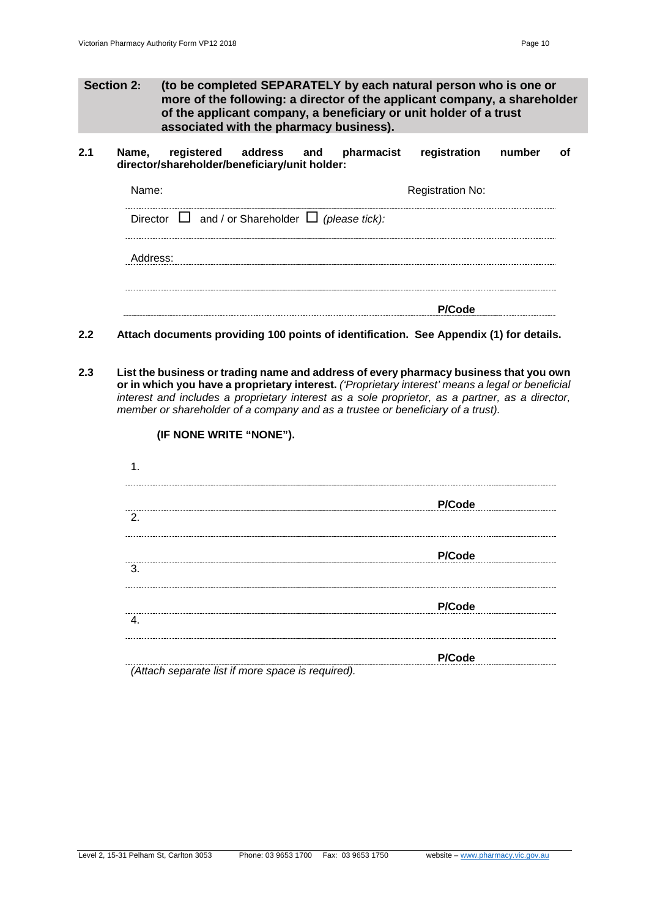- **Section 2: (to be completed SEPARATELY by each natural person who is one or more of the following: a director of the applicant company, a shareholder of the applicant company, a beneficiary or unit holder of a trust associated with the pharmacy business).**
- **2.1 Name, registered address and pharmacist registration number of director/shareholder/beneficiary/unit holder:**

| Name:                                                      | <b>Registration No:</b> |
|------------------------------------------------------------|-------------------------|
| Director $\Box$ and / or Shareholder $\Box$ (please tick): |                         |
| ddress:                                                    |                         |
|                                                            | P/Code                  |

- **2.2 Attach documents providing 100 points of identification. See Appendix (1) for details.**
- **2.3 List the business or trading name and address of every pharmacy business that you own or in which you have a proprietary interest.** *('Proprietary interest' means a legal or beneficial interest and includes a proprietary interest as a sole proprietor, as a partner, as a director, member or shareholder of a company and as a trustee or beneficiary of a trust).*

| 1.                           |        |
|------------------------------|--------|
| 2.                           | P/Code |
| -3.                          | P/Code |
| 4                            | P/Code |
| $\lambda$ $\lambda$<br><br>. | P/Code |

*(Attach separate list if more space is required).*

**(IF NONE WRITE "NONE").**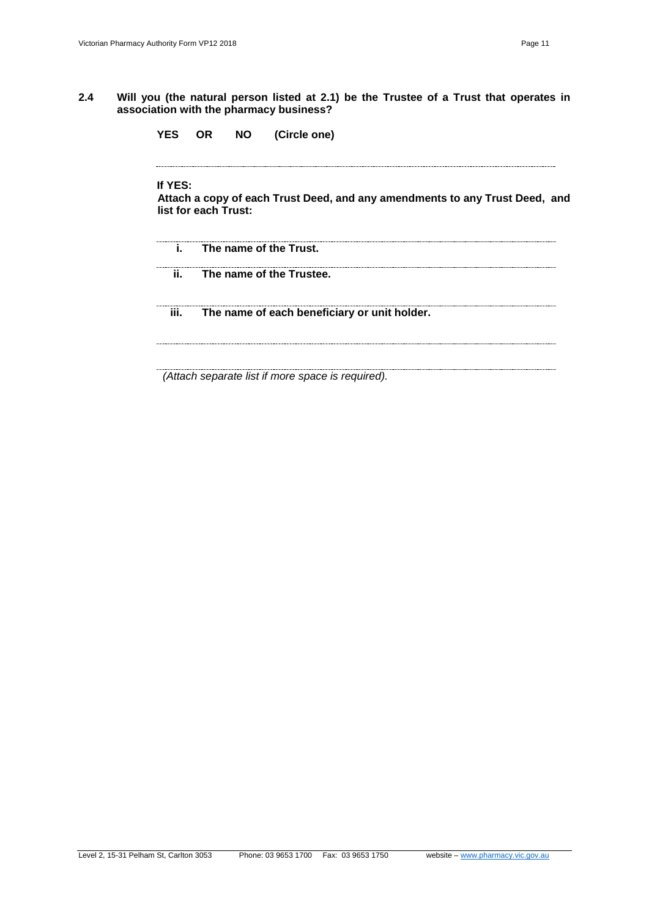- **2.4 Will you (the natural person listed at 2.1) be the Trustee of a Trust that operates in association with the pharmacy business?**
	- **YES OR NO (Circle one)**

**If YES:**

**Attach a copy of each Trust Deed, and any amendments to any Trust Deed, and list for each Trust:**

**i. The name of the Trust. ii. The name of the Trustee.**

**iii. The name of each beneficiary or unit holder.**

*(Attach separate list if more space is required).*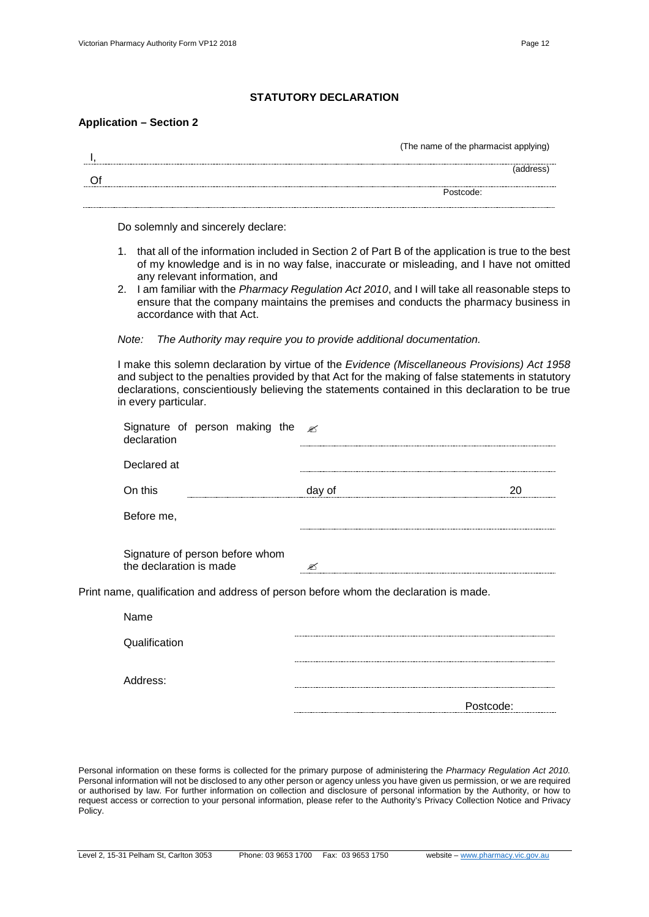#### **STATUTORY DECLARATION**

#### **Application – Section 2**

| (The name of the pharmacist applying) |
|---------------------------------------|
|                                       |
| Postcode:                             |
|                                       |

Do solemnly and sincerely declare:

- 1. that all of the information included in Section 2 of Part B of the application is true to the best of my knowledge and is in no way false, inaccurate or misleading, and I have not omitted any relevant information, and
- 2. I am familiar with the *Pharmacy Regulation Act 2010*, and I will take all reasonable steps to ensure that the company maintains the premises and conducts the pharmacy business in accordance with that Act.

*Note: The Authority may require you to provide additional documentation.*

I make this solemn declaration by virtue of the *Evidence (Miscellaneous Provisions) Act 1958* and subject to the penalties provided by that Act for the making of false statements in statutory declarations, conscientiously believing the statements contained in this declaration to be true in every particular.

| Signature of person making the $\approx$<br>declaration    |                                                                                           |    |
|------------------------------------------------------------|-------------------------------------------------------------------------------------------|----|
| Declared at                                                |                                                                                           |    |
| On this                                                    | day of                                                                                    | 20 |
| Before me,                                                 |                                                                                           |    |
| Signature of person before whom<br>the declaration is made | ☞<br>Print name, qualification and address of person before whom the declaration is made. |    |
| Name                                                       |                                                                                           |    |
| Qualification                                              |                                                                                           |    |
| Address:                                                   |                                                                                           |    |
|                                                            | Postcode:                                                                                 |    |

Personal information on these forms is collected for the primary purpose of administering the *Pharmacy Regulation Act 2010.* Personal information will not be disclosed to any other person or agency unless you have given us permission, or we are required or authorised by law. For further information on collection and disclosure of personal information by the Authority, or how to request access or correction to your personal information, please refer to the Authority's Privacy Collection Notice and Privacy Policy.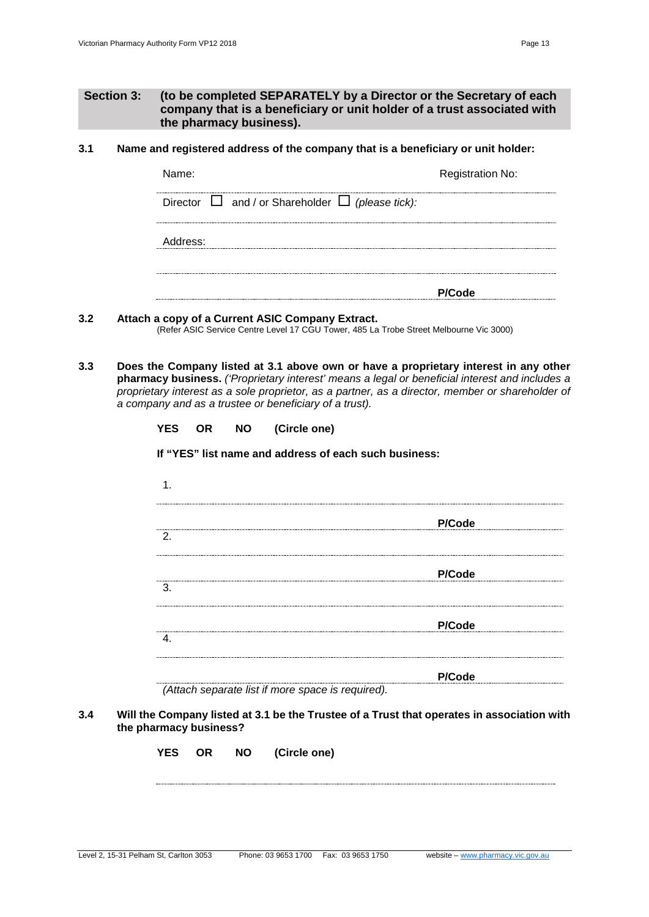#### **3.1 Name and registered address of the company that is a beneficiary or unit holder:**

| Name:                                                      | <b>Registration No:</b> |
|------------------------------------------------------------|-------------------------|
| Director $\Box$ and / or Shareholder $\Box$ (please tick): |                         |
| ddress:                                                    |                         |
|                                                            | <b>PIC</b> ode          |

#### **3.2 Attach a copy of a Current ASIC Company Extract.**

(Refer ASIC Service Centre Level 17 CGU Tower, 485 La Trobe Street Melbourne Vic 3000)

**3.3 Does the Company listed at 3.1 above own or have a proprietary interest in any other pharmacy business.** *('Proprietary interest' means a legal or beneficial interest and includes a proprietary interest as a sole proprietor, as a partner, as a director, member or shareholder of a company and as a trustee or beneficiary of a trust).*

| <b>YES</b> |  | OR NO (Circle one)                                    |
|------------|--|-------------------------------------------------------|
|            |  | If "YES" list name and address of each such business: |
|            |  |                                                       |
|            |  | P/Code                                                |
| 2.         |  |                                                       |
|            |  | P/Code                                                |
|            |  |                                                       |

|    |  |  | P/Co |
|----|--|--|------|
| ა. |  |  |      |
|    |  |  |      |
|    |  |  |      |

4. **P/Code**

**P/Code**

*(Attach separate list if more space is required).*

#### **3.4 Will the Company listed at 3.1 be the Trustee of a Trust that operates in association with the pharmacy business?**

| YES | <b>OR</b> | <b>NO</b> | (Circle one) |
|-----|-----------|-----------|--------------|
|     |           |           |              |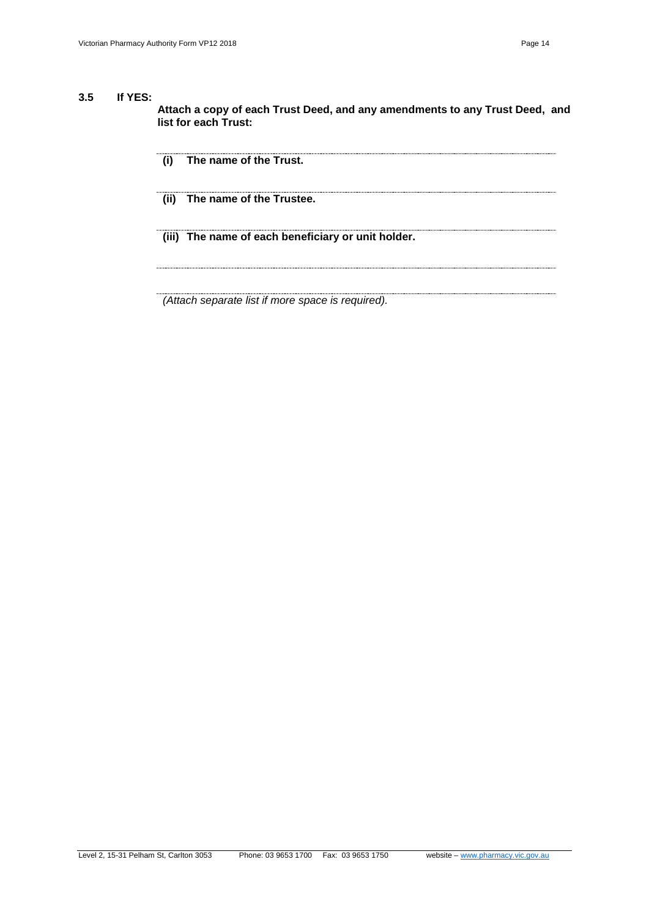#### **3.5 If YES:**

**Attach a copy of each Trust Deed, and any amendments to any Trust Deed, and list for each Trust:**

- **(i) The name of the Trust.**
- **(ii) The name of the Trustee.**
- **(iii) The name of each beneficiary or unit holder.**

*(Attach separate list if more space is required).*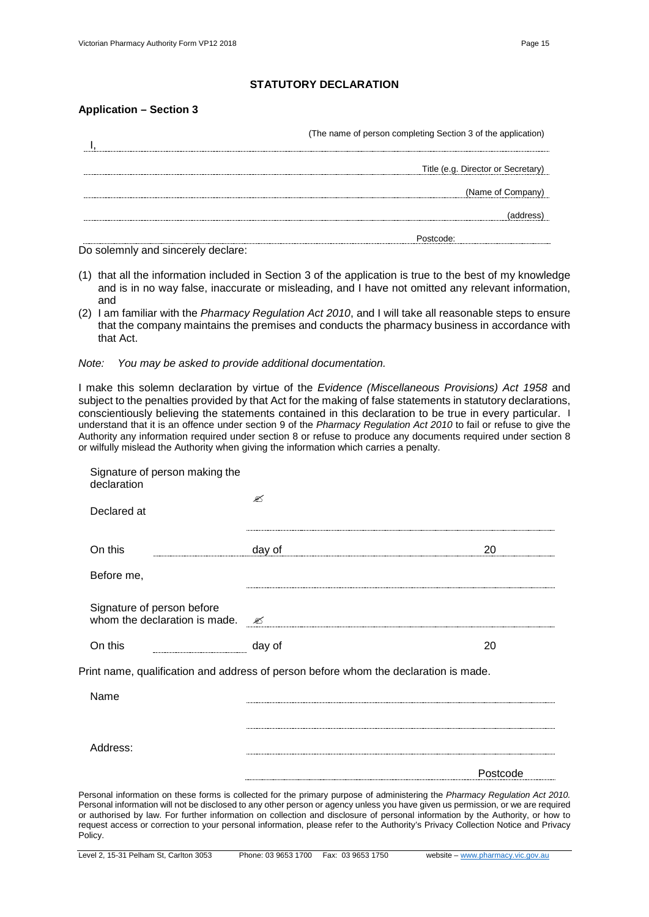#### **STATUTORY DECLARATION**

#### **Application – Section 3**

| (The name of person completing Section 3 of the application) |  |
|--------------------------------------------------------------|--|
| Title (e.g. Director or Secretary)                           |  |
| (Name of Company)                                            |  |
|                                                              |  |
|                                                              |  |

Do solemnly and sincerely declare:

- (1) that all the information included in Section 3 of the application is true to the best of my knowledge and is in no way false, inaccurate or misleading, and I have not omitted any relevant information, and
- (2) I am familiar with the *Pharmacy Regulation Act 2010*, and I will take all reasonable steps to ensure that the company maintains the premises and conducts the pharmacy business in accordance with that Act.
- *Note: You may be asked to provide additional documentation.*

I make this solemn declaration by virtue of the *Evidence (Miscellaneous Provisions) Act 1958* and subject to the penalties provided by that Act for the making of false statements in statutory declarations, conscientiously believing the statements contained in this declaration to be true in every particular. I understand that it is an offence under section 9 of the *Pharmacy Regulation Act 2010* to fail or refuse to give the Authority any information required under section 8 or refuse to produce any documents required under section 8 or wilfully mislead the Authority when giving the information which carries a penalty.

| declaration                                                                          |        |    |
|--------------------------------------------------------------------------------------|--------|----|
| Declared at                                                                          | ☎      |    |
|                                                                                      |        |    |
| On this                                                                              | day of | 20 |
| Before me,                                                                           |        |    |
| Signature of person before<br>whom the declaration is made.                          | ✍      |    |
| On this                                                                              | day of | 20 |
|                                                                                      |        |    |
|                                                                                      |        |    |
| Name                                                                                 |        |    |
| Print name, qualification and address of person before whom the declaration is made. |        |    |
| Address:                                                                             |        |    |

Personal information will not be disclosed to any other person or agency unless you have given us permission, or we are required or authorised by law. For further information on collection and disclosure of personal information by the Authority, or how to request access or correction to your personal information, please refer to the Authority's Privacy Collection Notice and Privacy Policy.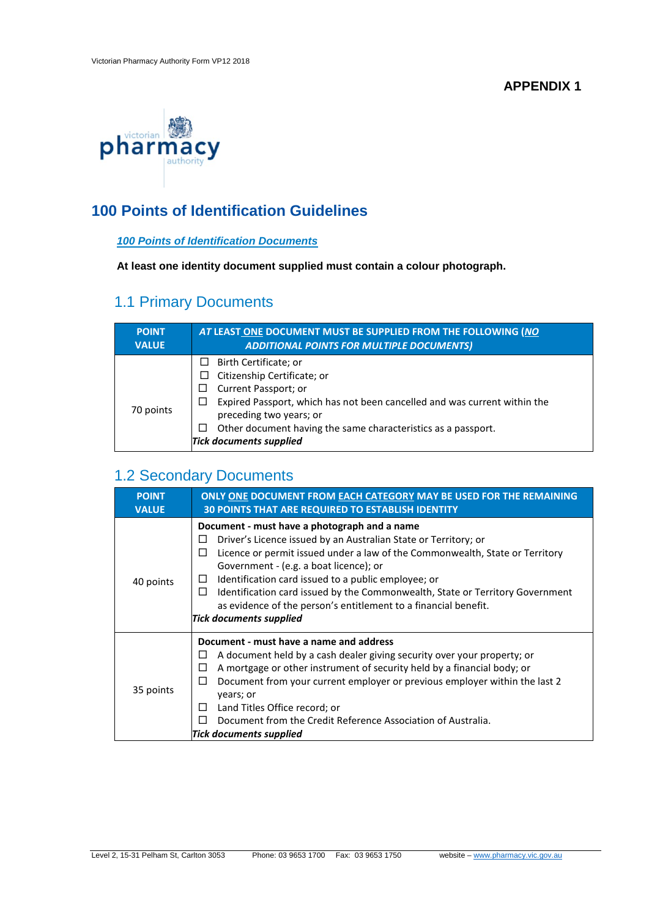**APPENDIX 1**



# **100 Points of Identification Guidelines**

## *100 Points of Identification Documents*

**At least one identity document supplied must contain a colour photograph.**

# 1.1 Primary Documents

| <b>POINT</b> | AT LEAST ONE DOCUMENT MUST BE SUPPLIED FROM THE FOLLOWING (NO                                                                                                                                                                                                                                                      |
|--------------|--------------------------------------------------------------------------------------------------------------------------------------------------------------------------------------------------------------------------------------------------------------------------------------------------------------------|
| <b>VALUE</b> | <b>ADDITIONAL POINTS FOR MULTIPLE DOCUMENTS)</b>                                                                                                                                                                                                                                                                   |
| 70 points    | $\Box$ Birth Certificate; or<br>Citizenship Certificate; or<br>Current Passport; or<br>ப<br>Expired Passport, which has not been cancelled and was current within the<br>⊔<br>preceding two years; or<br>Other document having the same characteristics as a passport.<br>$\Box$<br><b>Tick documents supplied</b> |

# 1.2 Secondary Documents

| <b>POINT</b><br><b>VALUE</b> | <b>ONLY ONE DOCUMENT FROM EACH CATEGORY MAY BE USED FOR THE REMAINING</b><br><b>30 POINTS THAT ARE REQUIRED TO ESTABLISH IDENTITY</b>                                                                                                                                                                                                                                                                                                                                                                           |
|------------------------------|-----------------------------------------------------------------------------------------------------------------------------------------------------------------------------------------------------------------------------------------------------------------------------------------------------------------------------------------------------------------------------------------------------------------------------------------------------------------------------------------------------------------|
| 40 points                    | Document - must have a photograph and a name<br>Driver's Licence issued by an Australian State or Territory; or<br>⊔<br>Licence or permit issued under a law of the Commonwealth, State or Territory<br>□<br>Government - (e.g. a boat licence); or<br>Identification card issued to a public employee; or<br>$\Box$<br>Identification card issued by the Commonwealth, State or Territory Government<br>П<br>as evidence of the person's entitlement to a financial benefit.<br><b>Tick documents supplied</b> |
| 35 points                    | Document - must have a name and address<br>A document held by a cash dealer giving security over your property; or<br>ப<br>A mortgage or other instrument of security held by a financial body; or<br>Ħ<br>Document from your current employer or previous employer within the last 2<br>$\Box$<br>years; or<br>Land Titles Office record; or<br>Ш<br>Document from the Credit Reference Association of Australia.<br>Tick documents supplied                                                                   |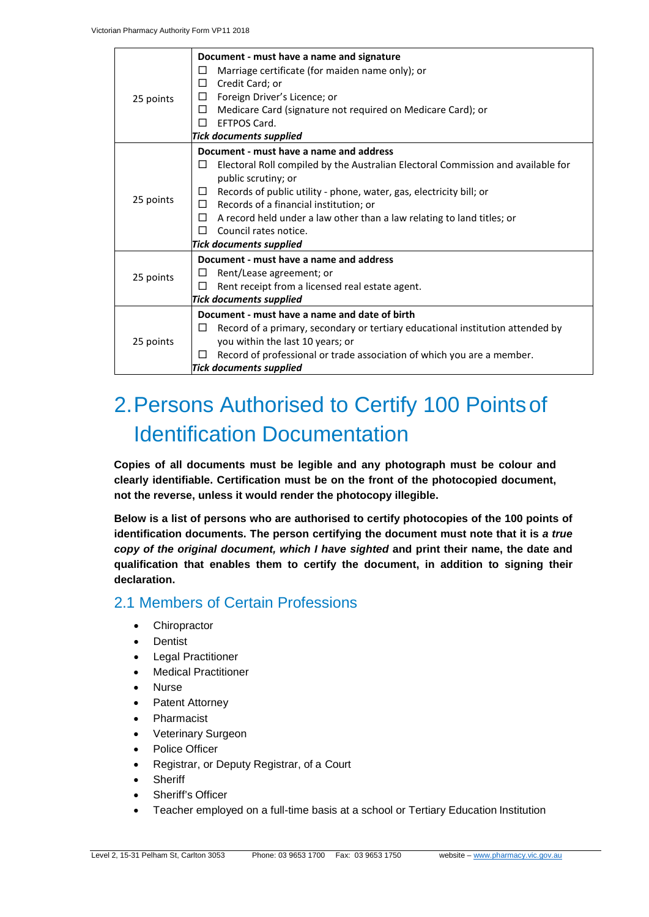| 25 points | Document - must have a name and signature<br>Marriage certificate (for maiden name only); or<br>Ш<br>Credit Card; or<br>□<br>Foreign Driver's Licence; or<br>□<br>Medicare Card (signature not required on Medicare Card); or<br>□<br>EFTPOS Card.<br>п<br><b>Tick documents supplied</b>                                                                                                                             |
|-----------|-----------------------------------------------------------------------------------------------------------------------------------------------------------------------------------------------------------------------------------------------------------------------------------------------------------------------------------------------------------------------------------------------------------------------|
| 25 points | Document - must have a name and address<br>Electoral Roll compiled by the Australian Electoral Commission and available for<br>Ш<br>public scrutiny; or<br>Records of public utility - phone, water, gas, electricity bill; or<br>Records of a financial institution; or<br>П<br>A record held under a law other than a law relating to land titles; or<br>П<br>Council rates notice.<br>П<br>Tick documents supplied |
| 25 points | Document - must have a name and address<br>Rent/Lease agreement; or<br>⊔<br>П<br>Rent receipt from a licensed real estate agent.<br><b>Tick documents supplied</b>                                                                                                                                                                                                                                                    |
| 25 points | Document - must have a name and date of birth<br>Record of a primary, secondary or tertiary educational institution attended by<br>$\Box$<br>you within the last 10 years; or<br>Record of professional or trade association of which you are a member.<br>П<br><b>Tick documents supplied</b>                                                                                                                        |

# 2.Persons Authorised to Certify 100 Pointsof Identification Documentation

**Copies of all documents must be legible and any photograph must be colour and clearly identifiable. Certification must be on the front of the photocopied document, not the reverse, unless it would render the photocopy illegible.**

**Below is a list of persons who are authorised to certify photocopies of the 100 points of identification documents. The person certifying the document must note that it is** *a true copy of the original document, which I have sighted* **and print their name, the date and qualification that enables them to certify the document, in addition to signing their declaration.**

# 2.1 Members of Certain Professions

- Chiropractor
- Dentist
- Legal Practitioner
- Medical Practitioner
- Nurse
- Patent Attorney
- Pharmacist
- Veterinary Surgeon
- Police Officer
- Registrar, or Deputy Registrar, of a Court
- **Sheriff**
- Sheriff's Officer
- Teacher employed on a full-time basis at a school or Tertiary Education Institution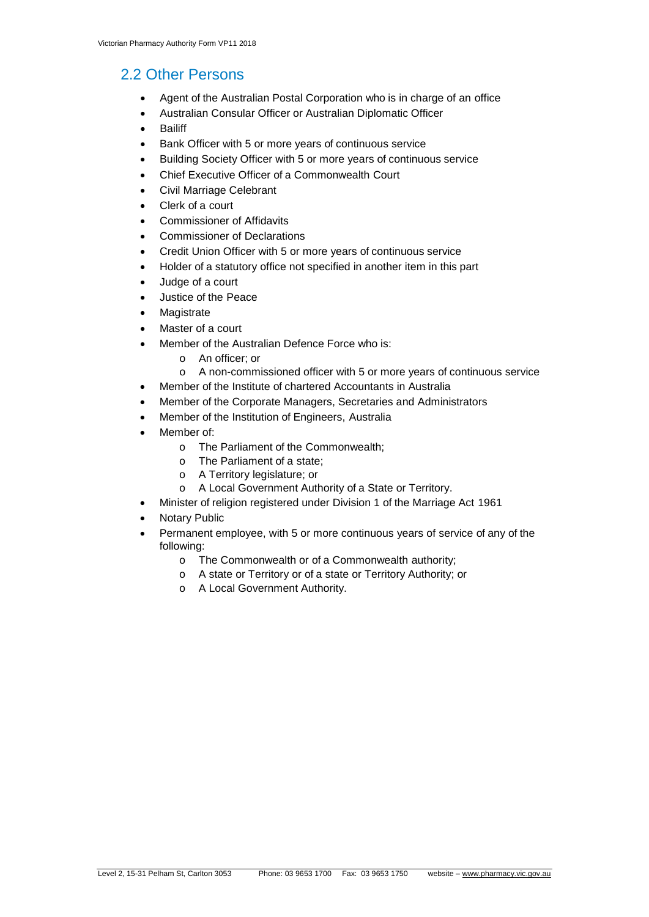# 2.2 Other Persons

- Agent of the Australian Postal Corporation who is in charge of an office
- Australian Consular Officer or Australian Diplomatic Officer
- **Bailiff**
- Bank Officer with 5 or more years of continuous service
- Building Society Officer with 5 or more years of continuous service
- Chief Executive Officer of a Commonwealth Court
- Civil Marriage Celebrant
- Clerk of a court
- Commissioner of Affidavits
- Commissioner of Declarations
- Credit Union Officer with 5 or more years of continuous service
- Holder of a statutory office not specified in another item in this part
- Judge of a court
- Justice of the Peace
- **Magistrate**
- Master of a court
- Member of the Australian Defence Force who is:
	- o An officer; or
	- o A non-commissioned officer with 5 or more years of continuous service
- Member of the Institute of chartered Accountants in Australia
- Member of the Corporate Managers, Secretaries and Administrators
- Member of the Institution of Engineers, Australia
- Member of:
	- o The Parliament of the Commonwealth;
	- o The Parliament of a state;
	- o A Territory legislature; or
	- o A Local Government Authority of a State or Territory.
- Minister of religion registered under Division 1 of the Marriage Act 1961
- **Notary Public**
- Permanent employee, with 5 or more continuous years of service of any of the following:
	- o The Commonwealth or of a Commonwealth authority;
	- o A state or Territory or of a state or Territory Authority; or
	- o A Local Government Authority.